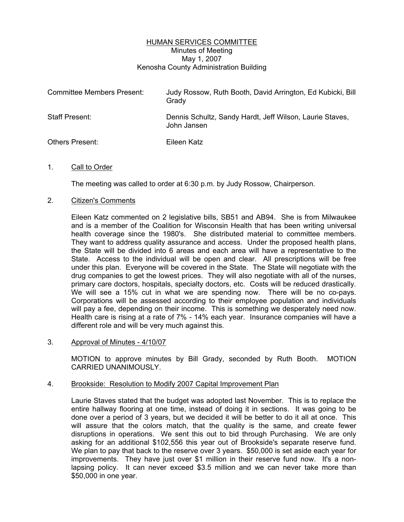## HUMAN SERVICES COMMITTEE Minutes of Meeting May 1, 2007 Kenosha County Administration Building

| <b>Committee Members Present:</b> | Judy Rossow, Ruth Booth, David Arrington, Ed Kubicki, Bill<br>Grady     |
|-----------------------------------|-------------------------------------------------------------------------|
| Staff Present:                    | Dennis Schultz, Sandy Hardt, Jeff Wilson, Laurie Staves,<br>John Jansen |
| <b>Others Present:</b>            | Eileen Katz                                                             |

## 1. Call to Order

The meeting was called to order at 6:30 p.m. by Judy Rossow, Chairperson.

## 2. Citizen's Comments

Eileen Katz commented on 2 legislative bills, SB51 and AB94. She is from Milwaukee and is a member of the Coalition for Wisconsin Health that has been writing universal health coverage since the 1980's. She distributed material to committee members. They want to address quality assurance and access. Under the proposed health plans, the State will be divided into 6 areas and each area will have a representative to the State. Access to the individual will be open and clear. All prescriptions will be free under this plan. Everyone will be covered in the State. The State will negotiate with the drug companies to get the lowest prices. They will also negotiate with all of the nurses, primary care doctors, hospitals, specialty doctors, etc. Costs will be reduced drastically. We will see a 15% cut in what we are spending now. There will be no co-pays. Corporations will be assessed according to their employee population and individuals will pay a fee, depending on their income. This is something we desperately need now. Health care is rising at a rate of 7% - 14% each year. Insurance companies will have a different role and will be very much against this.

3. Approval of Minutes - 4/10/07

MOTION to approve minutes by Bill Grady, seconded by Ruth Booth. MOTION CARRIED UNANIMOUSLY.

## 4. Brookside: Resolution to Modify 2007 Capital Improvement Plan

Laurie Staves stated that the budget was adopted last November. This is to replace the entire hallway flooring at one time, instead of doing it in sections. It was going to be done over a period of 3 years, but we decided it will be better to do it all at once. This will assure that the colors match, that the quality is the same, and create fewer disruptions in operations. We sent this out to bid through Purchasing. We are only asking for an additional \$102,556 this year out of Brookside's separate reserve fund. We plan to pay that back to the reserve over 3 years. \$50,000 is set aside each year for improvements. They have just over \$1 million in their reserve fund now. It's a nonlapsing policy. It can never exceed \$3.5 million and we can never take more than \$50,000 in one year.